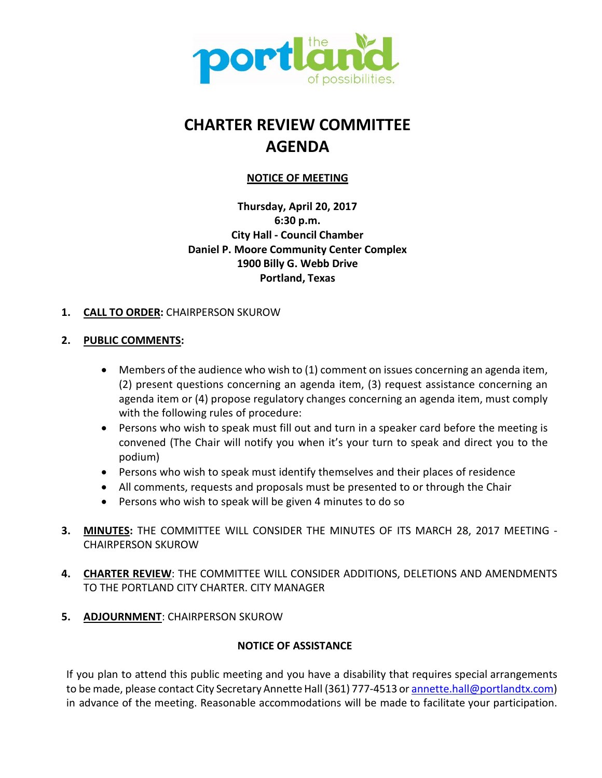

# **CHARTER REVIEW COMMITTEE AGENDA**

# **NOTICE OF MEETING**

**Thursday, April 20, 2017 6:30 p.m. City Hall - Council Chamber Daniel P. Moore Community Center Complex 1900 Billy G. Webb Drive Portland, Texas**

# **1. CALL TO ORDER:** CHAIRPERSON SKUROW

# **2. PUBLIC COMMENTS:**

- Members of the audience who wish to (1) comment on issues concerning an agenda item, (2) present questions concerning an agenda item, (3) request assistance concerning an agenda item or (4) propose regulatory changes concerning an agenda item, must comply with the following rules of procedure:
- Persons who wish to speak must fill out and turn in a speaker card before the meeting is convened (The Chair will notify you when it's your turn to speak and direct you to the podium)
- Persons who wish to speak must identify themselves and their places of residence
- All comments, requests and proposals must be presented to or through the Chair
- Persons who wish to speak will be given 4 minutes to do so
- **3. MINUTES:** THE COMMITTEE WILL CONSIDER THE MINUTES OF ITS MARCH 28, 2017 MEETING CHAIRPERSON SKUROW
- **4. CHARTER REVIEW**: THE COMMITTEE WILL CONSIDER ADDITIONS, DELETIONS AND AMENDMENTS TO THE PORTLAND CITY CHARTER. CITY MANAGER
- **5. ADJOURNMENT**: CHAIRPERSON SKUROW

# **NOTICE OF ASSISTANCE**

If you plan to attend this public meeting and you have a disability that requires special arrangements to be made, please contact City Secretary Annette Hall (361) 777-4513 or annette.hall@portlandtx.com) in advance of the meeting. Reasonable accommodations will be made to facilitate your participation.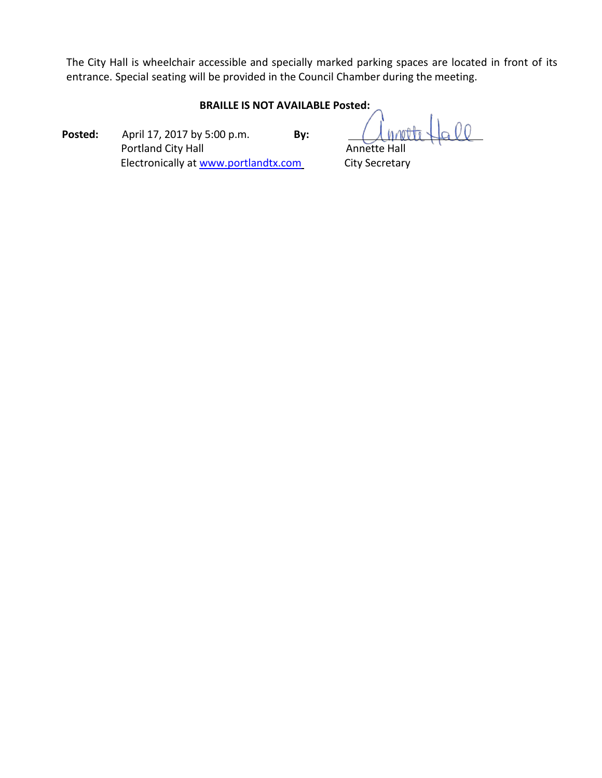The City Hall is wheelchair accessible and specially marked parking spaces are located in front of its entrance. Special seating will be provided in the Council Chamber during the meeting.

## **BRAILLE IS NOT AVAILABLE Posted:**

**Posted:** April 17, 2017 by 5:00 p.m. **By:** Portland City Hall **Annette Hall** Annette Hall Electronically at [www.portlandtx.com](http://www.portlandtx.com/) City Secretary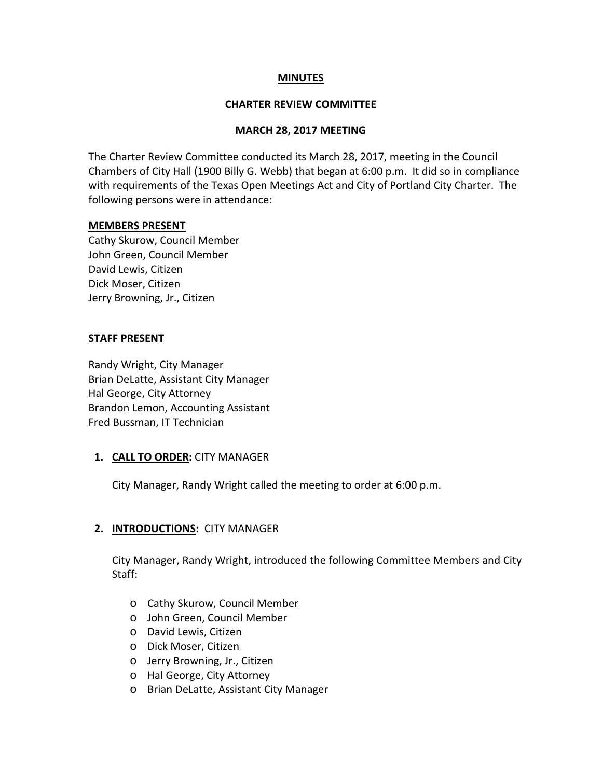## **MINUTES**

### **CHARTER REVIEW COMMITTEE**

#### **MARCH 28, 2017 MEETING**

The Charter Review Committee conducted its March 28, 2017, meeting in the Council Chambers of City Hall (1900 Billy G. Webb) that began at 6:00 p.m. It did so in compliance with requirements of the Texas Open Meetings Act and City of Portland City Charter. The following persons were in attendance:

#### **MEMBERS PRESENT**

Cathy Skurow, Council Member John Green, Council Member David Lewis, Citizen Dick Moser, Citizen Jerry Browning, Jr., Citizen

#### **STAFF PRESENT**

Randy Wright, City Manager Brian DeLatte, Assistant City Manager Hal George, City Attorney Brandon Lemon, Accounting Assistant Fred Bussman, IT Technician

## **1. CALL TO ORDER:** CITY MANAGER

City Manager, Randy Wright called the meeting to order at 6:00 p.m.

## **2. INTRODUCTIONS:** CITY MANAGER

City Manager, Randy Wright, introduced the following Committee Members and City Staff:

- o Cathy Skurow, Council Member
- o John Green, Council Member
- o David Lewis, Citizen
- o Dick Moser, Citizen
- o Jerry Browning, Jr., Citizen
- o Hal George, City Attorney
- o Brian DeLatte, Assistant City Manager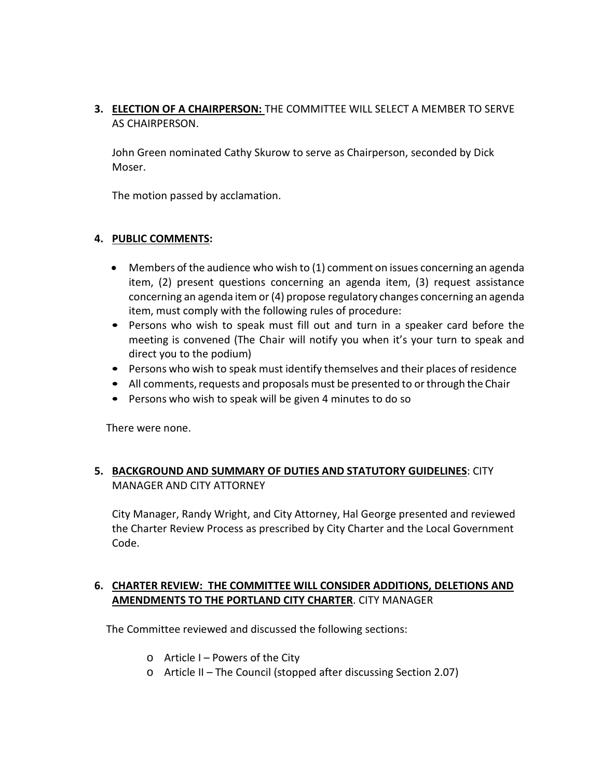# **3. ELECTION OF A CHAIRPERSON:** THE COMMITTEE WILL SELECT A MEMBER TO SERVE AS CHAIRPERSON.

John Green nominated Cathy Skurow to serve as Chairperson, seconded by Dick Moser.

The motion passed by acclamation.

## **4. PUBLIC COMMENTS:**

- Members of the audience who wish to (1) comment on issues concerning an agenda item, (2) present questions concerning an agenda item, (3) request assistance concerning an agenda item or(4) propose regulatory changes concerning an agenda item, must comply with the following rules of procedure:
- Persons who wish to speak must fill out and turn in a speaker card before the meeting is convened (The Chair will notify you when it's your turn to speak and direct you to the podium)
- Persons who wish to speak must identify themselves and their places of residence
- All comments, requests and proposals must be presented to or through the Chair
- Persons who wish to speak will be given 4 minutes to do so

There were none.

# **5. BACKGROUND AND SUMMARY OF DUTIES AND STATUTORY GUIDELINES**: CITY MANAGER AND CITY ATTORNEY

City Manager, Randy Wright, and City Attorney, Hal George presented and reviewed the Charter Review Process as prescribed by City Charter and the Local Government Code.

# **6. CHARTER REVIEW: THE COMMITTEE WILL CONSIDER ADDITIONS, DELETIONS AND AMENDMENTS TO THE PORTLAND CITY CHARTER**. CITY MANAGER

The Committee reviewed and discussed the following sections:

- $\circ$  Article I Powers of the City
- o Article II The Council (stopped after discussing Section 2.07)